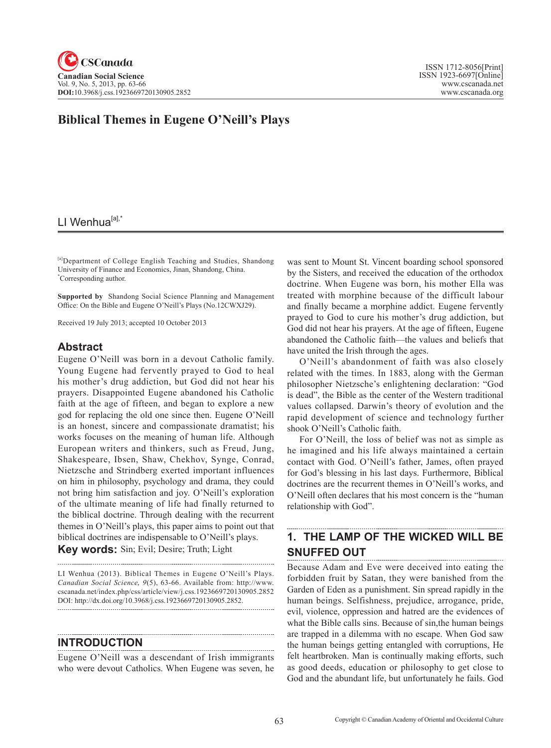# **Biblical Themes in Eugene O'Neill's Plays**

# LI Wenhua<sup>[a],\*</sup>

[a]Department of College English Teaching and Studies, Shandong University of Finance and Economics, Jinan, Shandong, China. \* Corresponding author.

**Supported by** Shandong Social Science Planning and Management Office: On the Bible and Eugene O'Neill's Plays (No.12CWXJ29).

Received 19 July 2013; accepted 10 October 2013

#### **Abstract**

Eugene O'Neill was born in a devout Catholic family. Young Eugene had fervently prayed to God to heal his mother's drug addiction, but God did not hear his prayers. Disappointed Eugene abandoned his Catholic faith at the age of fifteen, and began to explore a new god for replacing the old one since then. Eugene O'Neill is an honest, sincere and compassionate dramatist; his works focuses on the meaning of human life. Although European writers and thinkers, such as Freud, Jung, Shakespeare, Ibsen, Shaw, Chekhov, Synge, Conrad, Nietzsche and Strindberg exerted important influences on him in philosophy, psychology and drama, they could not bring him satisfaction and joy. O'Neill's exploration of the ultimate meaning of life had finally returned to the biblical doctrine. Through dealing with the recurrent themes in O'Neill's plays, this paper aims to point out that biblical doctrines are indispensable to O'Neill's plays.

**Key words:** Sin; Evil; Desire; Truth; Light

LI Wenhua (2013). Biblical Themes in Eugene O'Neill's Plays. *Canadian Social Science*, <sup>9</sup>(5), 63-66. Available from: http://www. cscanada.net/index.php/css/article/view/j.css.1923669720130905.2852 DOI: http://dx.doi.org/10.3968/j.css.1923669720130905.2852. 

### **INTRODUCTION**

Eugene O'Neill was a descendant of Irish immigrants who were devout Catholics. When Eugene was seven, he

was sent to Mount St. Vincent boarding school sponsored by the Sisters, and received the education of the orthodox doctrine. When Eugene was born, his mother Ella was treated with morphine because of the difficult labour and finally became a morphine addict. Eugene fervently prayed to God to cure his mother's drug addiction, but God did not hear his prayers. At the age of fifteen, Eugene abandoned the Catholic faith—the values and beliefs that have united the Irish through the ages.

O'Neill's abandonment of faith was also closely related with the times. In 1883, along with the German philosopher Nietzsche's enlightening declaration: "God is dead", the Bible as the center of the Western traditional values collapsed. Darwin's theory of evolution and the rapid development of science and technology further shook O'Neill's Catholic faith.

For O'Neill, the loss of belief was not as simple as he imagined and his life always maintained a certain contact with God. O'Neill's father, James, often prayed for God's blessing in his last days. Furthermore, Biblical doctrines are the recurrent themes in O'Neill's works, and O'Neill often declares that his most concern is the "human relationship with God".

#### **1. THE LAMP OF THE WICKED WILL BE SNUFFED OUT**

Because Adam and Eve were deceived into eating the forbidden fruit by Satan, they were banished from the Garden of Eden as a punishment. Sin spread rapidly in the human beings. Selfishness, prejudice, arrogance, pride, evil, violence, oppression and hatred are the evidences of what the Bible calls sins. Because of sin,the human beings are trapped in a dilemma with no escape. When God saw the human beings getting entangled with corruptions, He felt heartbroken. Man is continually making efforts, such as good deeds, education or philosophy to get close to God and the abundant life, but unfortunately he fails. God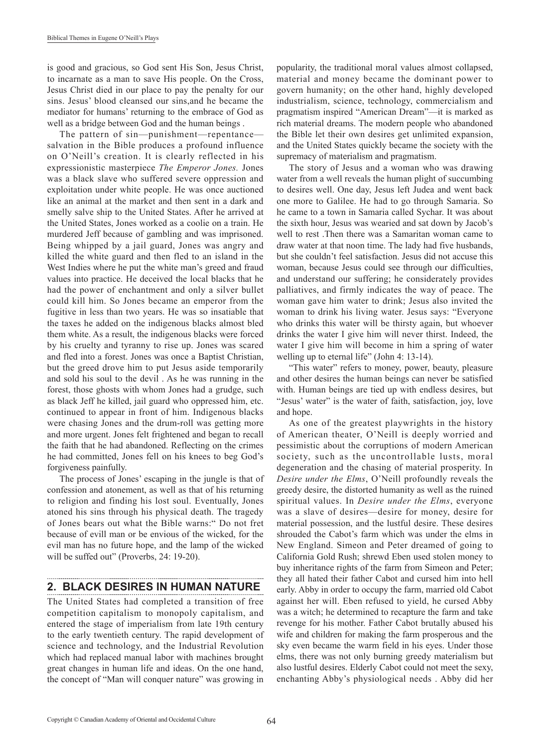is good and gracious, so God sent His Son, Jesus Christ, to incarnate as a man to save His people. On the Cross, Jesus Christ died in our place to pay the penalty for our sins. Jesus' blood cleansed our sins,and he became the mediator for humans' returning to the embrace of God as well as a bridge between God and the human beings .

The pattern of sin—punishment—repentance salvation in the Bible produces a profound influence on O'Neill's creation. It is clearly reflected in his expressionistic masterpiece *The Emperor Jones.* Jones was a black slave who suffered severe oppression and exploitation under white people. He was once auctioned like an animal at the market and then sent in a dark and smelly salve ship to the United States. After he arrived at the United States, Jones worked as a coolie on a train. He murdered Jeff because of gambling and was imprisoned. Being whipped by a jail guard, Jones was angry and killed the white guard and then fled to an island in the West Indies where he put the white man's greed and fraud values into practice. He deceived the local blacks that he had the power of enchantment and only a silver bullet could kill him. So Jones became an emperor from the fugitive in less than two years. He was so insatiable that the taxes he added on the indigenous blacks almost bled them white. As a result, the indigenous blacks were forced by his cruelty and tyranny to rise up. Jones was scared and fled into a forest. Jones was once a Baptist Christian, but the greed drove him to put Jesus aside temporarily and sold his soul to the devil . As he was running in the forest, those ghosts with whom Jones had a grudge, such as black Jeff he killed, jail guard who oppressed him, etc. continued to appear in front of him. Indigenous blacks were chasing Jones and the drum-roll was getting more and more urgent. Jones felt frightened and began to recall the faith that he had abandoned. Reflecting on the crimes he had committed, Jones fell on his knees to beg God's forgiveness painfully.

The process of Jones' escaping in the jungle is that of confession and atonement, as well as that of his returning to religion and finding his lost soul. Eventually, Jones atoned his sins through his physical death. The tragedy of Jones bears out what the Bible warns:" Do not fret because of evill man or be envious of the wicked, for the evil man has no future hope, and the lamp of the wicked will be suffed out" (Proverbs, 24: 19-20).

# **2. BLACK DESIRES IN HUMAN NATURE**

The United States had completed a transition of free competition capitalism to monopoly capitalism, and entered the stage of imperialism from late 19th century to the early twentieth century. The rapid development of science and technology, and the Industrial Revolution which had replaced manual labor with machines brought great changes in human life and ideas. On the one hand, the concept of "Man will conquer nature" was growing in popularity, the traditional moral values almost collapsed, material and money became the dominant power to govern humanity; on the other hand, highly developed industrialism, science, technology, commercialism and pragmatism inspired "American Dream"—it is marked as rich material dreams. The modern people who abandoned the Bible let their own desires get unlimited expansion, and the United States quickly became the society with the supremacy of materialism and pragmatism.

The story of Jesus and a woman who was drawing water from a well reveals the human plight of succumbing to desires well. One day, Jesus left Judea and went back one more to Galilee. He had to go through Samaria. So he came to a town in Samaria called Sychar. It was about the sixth hour, Jesus was wearied and sat down by Jacob's well to rest .Then there was a Samaritan woman came to draw water at that noon time. The lady had five husbands, but she couldn't feel satisfaction. Jesus did not accuse this woman, because Jesus could see through our difficulties, and understand our suffering; he considerately provides palliatives, and firmly indicates the way of peace. The woman gave him water to drink; Jesus also invited the woman to drink his living water. Jesus says: "Everyone who drinks this water will be thirsty again, but whoever drinks the water I give him will never thirst. Indeed, the water I give him will become in him a spring of water welling up to eternal life" (John 4: 13-14).

"This water" refers to money, power, beauty, pleasure and other desires the human beings can never be satisfied with. Human beings are tied up with endless desires, but "Jesus' water" is the water of faith, satisfaction, joy, love and hope.

As one of the greatest playwrights in the history of American theater, O'Neill is deeply worried and pessimistic about the corruptions of modern American society, such as the uncontrollable lusts, moral degeneration and the chasing of material prosperity. In *Desire under the Elms*, O'Neill profoundly reveals the greedy desire, the distorted humanity as well as the ruined spiritual values. In *Desire under the Elms*, everyone was a slave of desires—desire for money, desire for material possession, and the lustful desire. These desires shrouded the Cabot's farm which was under the elms in New England. Simeon and Peter dreamed of going to California Gold Rush; shrewd Eben used stolen money to buy inheritance rights of the farm from Simeon and Peter; they all hated their father Cabot and cursed him into hell early. Abby in order to occupy the farm, married old Cabot against her will. Eben refused to yield, he cursed Abby was a witch; he determined to recapture the farm and take revenge for his mother. Father Cabot brutally abused his wife and children for making the farm prosperous and the sky even became the warm field in his eyes. Under those elms, there was not only burning greedy materialism but also lustful desires. Elderly Cabot could not meet the sexy, enchanting Abby's physiological needs . Abby did her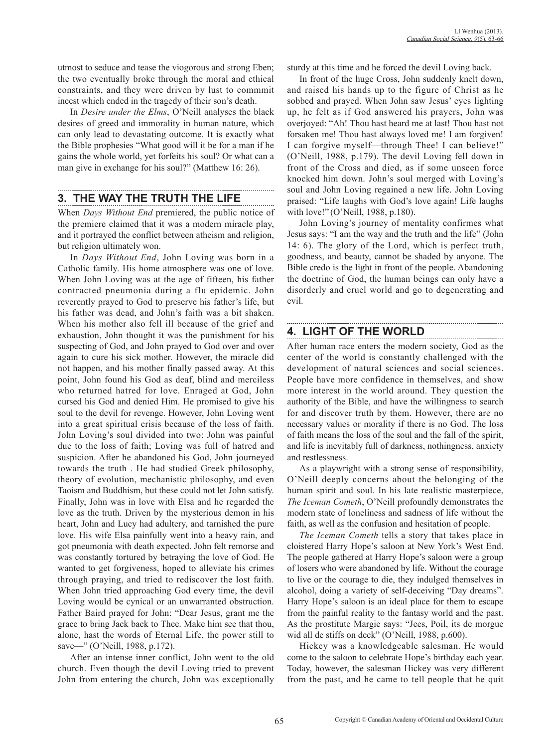utmost to seduce and tease the viogorous and strong Eben; the two eventually broke through the moral and ethical constraints, and they were driven by lust to commmit incest which ended in the tragedy of their son's death.

In *Desire under the Elms*, O'Neill analyses the black desires of greed and immorality in human nature, which can only lead to devastating outcome. It is exactly what the Bible prophesies "What good will it be for a man if he gains the whole world, yet forfeits his soul? Or what can a man give in exchange for his soul?" (Matthew 16: 26).

### **3. THE WAY THE TRUTH THE LIFE**

When *Days Without End* premiered, the public notice of the premiere claimed that it was a modern miracle play, and it portrayed the conflict between atheism and religion, but religion ultimately won.

In *Days Without End*, John Loving was born in a Catholic family. His home atmosphere was one of love. When John Loving was at the age of fifteen, his father contracted pneumonia during a flu epidemic. John reverently prayed to God to preserve his father's life, but his father was dead, and John's faith was a bit shaken. When his mother also fell ill because of the grief and exhaustion, John thought it was the punishment for his suspecting of God, and John prayed to God over and over again to cure his sick mother. However, the miracle did not happen, and his mother finally passed away. At this point, John found his God as deaf, blind and merciless who returned hatred for love. Enraged at God, John cursed his God and denied Him. He promised to give his soul to the devil for revenge. However, John Loving went into a great spiritual crisis because of the loss of faith. John Loving's soul divided into two: John was painful due to the loss of faith; Loving was full of hatred and suspicion. After he abandoned his God, John journeyed towards the truth . He had studied Greek philosophy, theory of evolution, mechanistic philosophy, and even Taoism and Buddhism, but these could not let John satisfy. Finally, John was in love with Elsa and he regarded the love as the truth. Driven by the mysterious demon in his heart, John and Lucy had adultery, and tarnished the pure love. His wife Elsa painfully went into a heavy rain, and got pneumonia with death expected. John felt remorse and was constantly tortured by betraying the love of God. He wanted to get forgiveness, hoped to alleviate his crimes through praying, and tried to rediscover the lost faith. When John tried approaching God every time, the devil Loving would be cynical or an unwarranted obstruction. Father Baird prayed for John: "Dear Jesus, grant me the grace to bring Jack back to Thee. Make him see that thou, alone, hast the words of Eternal Life, the power still to save—" (O'Neill, 1988, p.172).

After an intense inner conflict, John went to the old church. Even though the devil Loving tried to prevent John from entering the church, John was exceptionally sturdy at this time and he forced the devil Loving back.

In front of the huge Cross, John suddenly knelt down, and raised his hands up to the figure of Christ as he sobbed and prayed. When John saw Jesus' eyes lighting up, he felt as if God answered his prayers, John was overjoyed: "Ah! Thou hast heard me at last! Thou hast not forsaken me! Thou hast always loved me! I am forgiven! I can forgive myself—through Thee! I can believe!" (O'Neill, 1988, p.179). The devil Loving fell down in front of the Cross and died, as if some unseen force knocked him down. John's soul merged with Loving's soul and John Loving regained a new life. John Loving praised: "Life laughs with God's love again! Life laughs with love!" (O'Neill, 1988, p.180).

John Loving's journey of mentality confirmes what Jesus says: "I am the way and the truth and the life" (John 14: 6). The glory of the Lord, which is perfect truth, goodness, and beauty, cannot be shaded by anyone. The Bible credo is the light in front of the people. Abandoning the doctrine of God, the human beings can only have a disorderly and cruel world and go to degenerating and evil.

# **4. LIGHT OF THE WORLD**

After human race enters the modern society, God as the center of the world is constantly challenged with the development of natural sciences and social sciences. People have more confidence in themselves, and show more interest in the world around. They question the authority of the Bible, and have the willingness to search for and discover truth by them. However, there are no necessary values or morality if there is no God. The loss of faith means the loss of the soul and the fall of the spirit, and life is inevitably full of darkness, nothingness, anxiety and restlessness.

As a playwright with a strong sense of responsibility, O'Neill deeply concerns about the belonging of the human spirit and soul. In his late realistic masterpiece, *The Iceman Cometh*, O'Neill profoundly demonstrates the modern state of loneliness and sadness of life without the faith, as well as the confusion and hesitation of people.

*The Iceman Cometh* tells a story that takes place in cloistered Harry Hope's saloon at New York's West End. The people gathered at Harry Hope's saloon were a group of losers who were abandoned by life. Without the courage to live or the courage to die, they indulged themselves in alcohol, doing a variety of self-deceiving "Day dreams". Harry Hope's saloon is an ideal place for them to escape from the painful reality to the fantasy world and the past. As the prostitute Margie says: "Jees, Poil, its de morgue wid all de stiffs on deck" (O'Neill, 1988, p.600).

Hickey was a knowledgeable salesman. He would come to the saloon to celebrate Hope's birthday each year. Today, however, the salesman Hickey was very different from the past, and he came to tell people that he quit